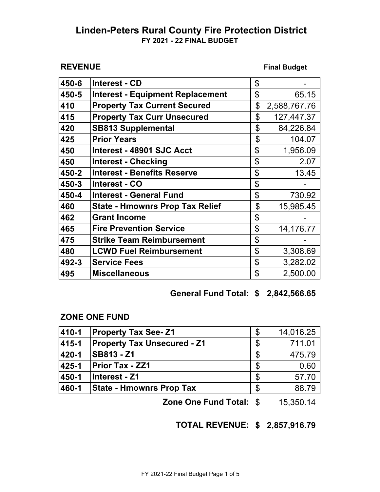#### **REVENUE**

**Final Budget**

| 450-6 | <b>Interest - CD</b>                    | \$                 |
|-------|-----------------------------------------|--------------------|
| 450-5 | <b>Interest - Equipment Replacement</b> | \$<br>65.15        |
| 410   | <b>Property Tax Current Secured</b>     | \$<br>2,588,767.76 |
| 415   | <b>Property Tax Curr Unsecured</b>      | \$<br>127,447.37   |
| 420   | <b>SB813 Supplemental</b>               | \$<br>84,226.84    |
| 425   | <b>Prior Years</b>                      | \$<br>104.07       |
| 450   | Interest - 48901 SJC Acct               | \$<br>1,956.09     |
| 450   | <b>Interest - Checking</b>              | \$<br>2.07         |
| 450-2 | <b>Interest - Benefits Reserve</b>      | \$<br>13.45        |
| 450-3 | <b>Interest - CO</b>                    | \$                 |
| 450-4 | <b>Interest - General Fund</b>          | \$<br>730.92       |
| 460   | <b>State - Hmownrs Prop Tax Relief</b>  | \$<br>15,985.45    |
| 462   | <b>Grant Income</b>                     | \$                 |
| 465   | <b>Fire Prevention Service</b>          | \$<br>14,176.77    |
| 475   | <b>Strike Team Reimbursement</b>        | \$                 |
| 480   | <b>LCWD Fuel Reimbursement</b>          | \$<br>3,308.69     |
| 492-3 | <b>Service Fees</b>                     | \$<br>3,282.02     |
| 495   | <b>Miscellaneous</b>                    | \$<br>2,500.00     |

## **\$ 2,842,566.65 General Fund Total:**

#### **ZONE ONE FUND**

|       |                                    |    | $\lambda$ - $\lambda$ - $\lambda$ - $\lambda$ |
|-------|------------------------------------|----|-----------------------------------------------|
| 460-1 | <b>State - Hmownrs Prop Tax</b>    | \$ | 88.79                                         |
| 450-1 | Interest - Z1                      | S  | 57.70                                         |
| 425-1 | <b>Prior Tax - ZZ1</b>             | \$ | 0.60                                          |
| 420-1 | <b>SB813 - Z1</b>                  | S  | 475.79                                        |
| 415-1 | <b>Property Tax Unsecured - Z1</b> | \$ | 711.01                                        |
| 410-1 | <b>Property Tax See-Z1</b>         | S  | 14,016.25                                     |

**Zone One Fund Total: \$ 15,350.14** 

**\$ 2,857,916.79 TOTAL REVENUE:**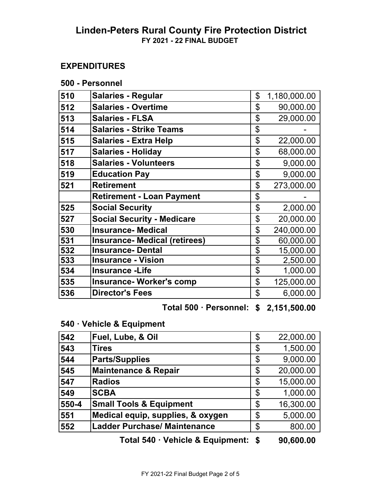## **EXPENDITURES**

| 500 - Personnel |  |
|-----------------|--|
|-----------------|--|

| 510 | <b>Salaries - Regular</b>            | \$<br>1,180,000.00 |
|-----|--------------------------------------|--------------------|
| 512 | <b>Salaries - Overtime</b>           | \$<br>90,000.00    |
| 513 | <b>Salaries - FLSA</b>               | \$<br>29,000.00    |
| 514 | <b>Salaries - Strike Teams</b>       | \$                 |
| 515 | <b>Salaries - Extra Help</b>         | \$<br>22,000.00    |
| 517 | <b>Salaries - Holiday</b>            | \$<br>68,000.00    |
| 518 | <b>Salaries - Volunteers</b>         | \$<br>9,000.00     |
| 519 | <b>Education Pay</b>                 | \$<br>9,000.00     |
| 521 | <b>Retirement</b>                    | \$<br>273,000.00   |
|     | <b>Retirement - Loan Payment</b>     | \$                 |
| 525 | <b>Social Security</b>               | \$<br>2,000.00     |
| 527 | <b>Social Security - Medicare</b>    | \$<br>20,000.00    |
| 530 | <b>Insurance-Medical</b>             | \$<br>240,000.00   |
| 531 | <b>Insurance- Medical (retirees)</b> | \$<br>60,000.00    |
| 532 | <b>Insurance-Dental</b>              | \$<br>15,000.00    |
| 533 | <b>Insurance - Vision</b>            | \$<br>2,500.00     |
| 534 | <b>Insurance - Life</b>              | \$<br>1,000.00     |
| 535 | <b>Insurance- Worker's comp</b>      | \$<br>125,000.00   |
| 536 | <b>Director's Fees</b>               | \$<br>6,000.00     |

## **\$ 2,151,500.00 Total 500 ꞏ Personnel:**

## **540 ꞏ Vehicle & Equipment**

| 542   | Fuel, Lube, & Oil                   | \$<br>22,000.00 |
|-------|-------------------------------------|-----------------|
| 543   | <b>Tires</b>                        | \$<br>1,500.00  |
| 544   | <b>Parts/Supplies</b>               | \$<br>9,000.00  |
| 545   | <b>Maintenance &amp; Repair</b>     | \$<br>20,000.00 |
| 547   | <b>Radios</b>                       | \$<br>15,000.00 |
| 549   | <b>SCBA</b>                         | \$<br>1,000.00  |
| 550-4 | <b>Small Tools &amp; Equipment</b>  | \$<br>16,300.00 |
| 551   | Medical equip, supplies, & oxygen   | \$<br>5,000.00  |
| 552   | <b>Ladder Purchase/ Maintenance</b> | \$<br>800.00    |

**\$ 90,600.00 Total 540 ꞏ Vehicle & Equipment:**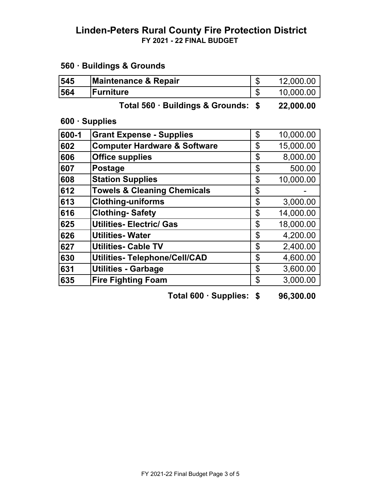# **560 ꞏ Buildings & Grounds**

| 545   | <b>Maintenance &amp; Repair</b>         | \$   | 12,000.00 |
|-------|-----------------------------------------|------|-----------|
| 564   | <b>Furniture</b>                        | \$   | 10,000.00 |
|       | Total 560 · Buildings & Grounds:        | - \$ | 22,000.00 |
|       | 600 · Supplies                          |      |           |
| 600-1 | <b>Grant Expense - Supplies</b>         | \$   | 10,000.00 |
| 602   | <b>Computer Hardware &amp; Software</b> | \$   | 15,000.00 |
| 606   | <b>Office supplies</b>                  | \$   | 8,000.00  |
| 607   | <b>Postage</b>                          | \$   | 500.00    |
| 608   | <b>Station Supplies</b>                 | \$   | 10,000.00 |
| 612   | <b>Towels &amp; Cleaning Chemicals</b>  | \$   |           |
| 613   | <b>Clothing-uniforms</b>                | \$   | 3,000.00  |
| 616   | <b>Clothing-Safety</b>                  | \$   | 14,000.00 |
| 625   | <b>Utilities- Electric/ Gas</b>         | \$   | 18,000.00 |
| 626   | <b>Utilities-Water</b>                  | \$   | 4,200.00  |
| 627   | <b>Utilities- Cable TV</b>              | \$   | 2,400.00  |
| 630   | <b>Utilities-Telephone/Cell/CAD</b>     | \$   | 4,600.00  |
| 631   | <b>Utilities - Garbage</b>              | \$   | 3,600.00  |
| 635   | <b>Fire Fighting Foam</b>               | \$   | 3,000.00  |
|       |                                         |      |           |

**Total 600 · Supplies: \$ 96,300.00**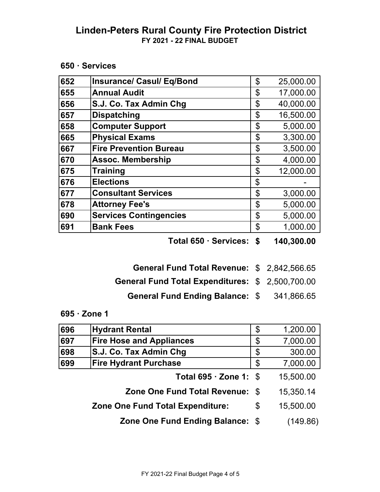**650 ꞏ Services**

| 652 | <b>Insurance/ Casul/ Eq/Bond</b> | \$<br>25,000.00 |
|-----|----------------------------------|-----------------|
| 655 | <b>Annual Audit</b>              | \$<br>17,000.00 |
| 656 | S.J. Co. Tax Admin Chg           | \$<br>40,000.00 |
| 657 | <b>Dispatching</b>               | \$<br>16,500.00 |
| 658 | <b>Computer Support</b>          | \$<br>5,000.00  |
| 665 | <b>Physical Exams</b>            | \$<br>3,300.00  |
| 667 | <b>Fire Prevention Bureau</b>    | \$<br>3,500.00  |
| 670 | <b>Assoc. Membership</b>         | \$<br>4,000.00  |
| 675 | <b>Training</b>                  | \$<br>12,000.00 |
| 676 | <b>Elections</b>                 | \$              |
| 677 | <b>Consultant Services</b>       | \$<br>3,000.00  |
| 678 | <b>Attorney Fee's</b>            | \$<br>5,000.00  |
| 690 | <b>Services Contingencies</b>    | \$<br>5,000.00  |
| 691 | <b>Bank Fees</b>                 | \$<br>1,000.00  |

**Total 650 · Services: \$ 140,300.00** 

- General Fund Total Revenue: \$2,842,566.65
- General Fund Total Expenditures: \$ 2,500,700.00
	- General Fund Ending Balance: \$ 341,866.65
- **695 ꞏ Zone 1**

| 696 | <b>Hydrant Rental</b>                   | \$<br>1,200.00  |
|-----|-----------------------------------------|-----------------|
| 697 | <b>Fire Hose and Appliances</b>         | \$<br>7,000.00  |
| 698 | S.J. Co. Tax Admin Chg                  | \$<br>300.00    |
| 699 | <b>Fire Hydrant Purchase</b>            | \$<br>7,000.00  |
|     | Total $695 \cdot$ Zone 1: \$            | 15,500.00       |
|     | Zone One Fund Total Revenue: \$         | 15,350.14       |
|     | <b>Zone One Fund Total Expenditure:</b> | \$<br>15,500.00 |
|     | Zone One Fund Ending Balance: \$        | (149.86)        |